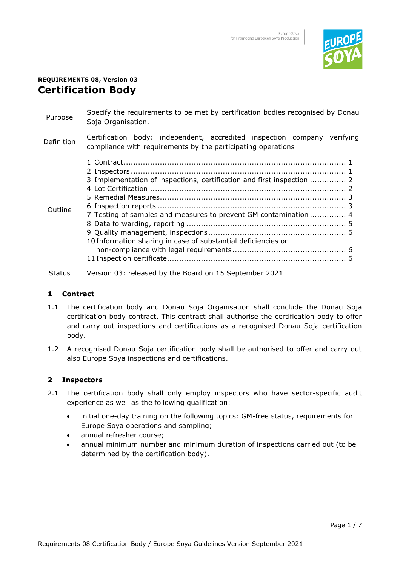

# **REQUIREMENTS 08, Version 03 Certification Body**

| Purpose       | Specify the requirements to be met by certification bodies recognised by Donau<br>Soja Organisation.                                                                                                        |
|---------------|-------------------------------------------------------------------------------------------------------------------------------------------------------------------------------------------------------------|
| Definition    | Certification body: independent, accredited inspection company verifying<br>compliance with requirements by the participating operations                                                                    |
| Outline       | 3 Implementation of inspections, certification and first inspection  2<br>7 Testing of samples and measures to prevent GM contamination  4<br>10 Information sharing in case of substantial deficiencies or |
| <b>Status</b> | Version 03: released by the Board on 15 September 2021                                                                                                                                                      |

## **1 Contract**

- 1.1 The certification body and Donau Soja Organisation shall conclude the Donau Soja certification body contract. This contract shall authorise the certification body to offer and carry out inspections and certifications as a recognised Donau Soja certification body.
- 1.2 A recognised Donau Soja certification body shall be authorised to offer and carry out also Europe Soya inspections and certifications.

#### **2 Inspectors**

- 2.1 The certification body shall only employ inspectors who have sector-specific audit experience as well as the following qualification:
	- initial one-day training on the following topics: GM-free status, requirements for Europe Soya operations and sampling;
	- annual refresher course;
	- annual minimum number and minimum duration of inspections carried out (to be determined by the certification body).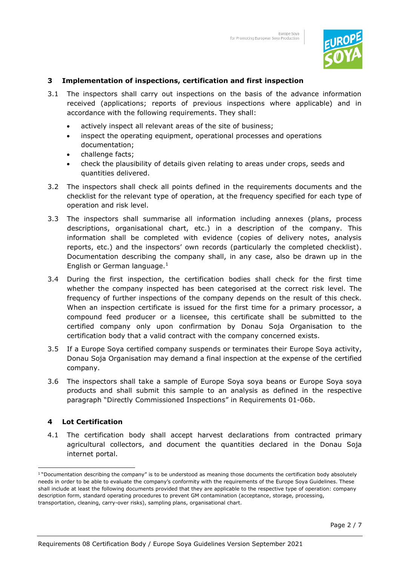

#### **3 Implementation of inspections, certification and first inspection**

- 3.1 The inspectors shall carry out inspections on the basis of the advance information received (applications; reports of previous inspections where applicable) and in accordance with the following requirements. They shall:
	- actively inspect all relevant areas of the site of business;
	- inspect the operating equipment, operational processes and operations documentation;
	- challenge facts;
	- check the plausibility of details given relating to areas under crops, seeds and quantities delivered.
- 3.2 The inspectors shall check all points defined in the requirements documents and the checklist for the relevant type of operation, at the frequency specified for each type of operation and risk level.
- 3.3 The inspectors shall summarise all information including annexes (plans, process descriptions, organisational chart, etc.) in a description of the company. This information shall be completed with evidence (copies of delivery notes, analysis reports, etc.) and the inspectors' own records (particularly the completed checklist). Documentation describing the company shall, in any case, also be drawn up in the English or German language. $<sup>1</sup>$ </sup>
- 3.4 During the first inspection, the certification bodies shall check for the first time whether the company inspected has been categorised at the correct risk level. The frequency of further inspections of the company depends on the result of this check. When an inspection certificate is issued for the first time for a primary processor, a compound feed producer or a licensee, this certificate shall be submitted to the certified company only upon confirmation by Donau Soja Organisation to the certification body that a valid contract with the company concerned exists.
- 3.5 If a Europe Soya certified company suspends or terminates their Europe Soya activity, Donau Soja Organisation may demand a final inspection at the expense of the certified company.
- 3.6 The inspectors shall take a sample of Europe Soya soya beans or Europe Soya soya products and shall submit this sample to an analysis as defined in the respective paragraph "Directly Commissioned Inspections" in Requirements 01-06b.

#### **4 Lot Certification**

4.1 The certification body shall accept harvest declarations from contracted primary agricultural collectors, and document the quantities declared in the Donau Soja internet portal.

<sup>&</sup>lt;sup>1</sup> "Documentation describing the company" is to be understood as meaning those documents the certification body absolutely needs in order to be able to evaluate the company's conformity with the requirements of the Europe Soya Guidelines. These shall include at least the following documents provided that they are applicable to the respective type of operation: company description form, standard operating procedures to prevent GM contamination (acceptance, storage, processing, transportation, cleaning, carry-over risks), sampling plans, organisational chart.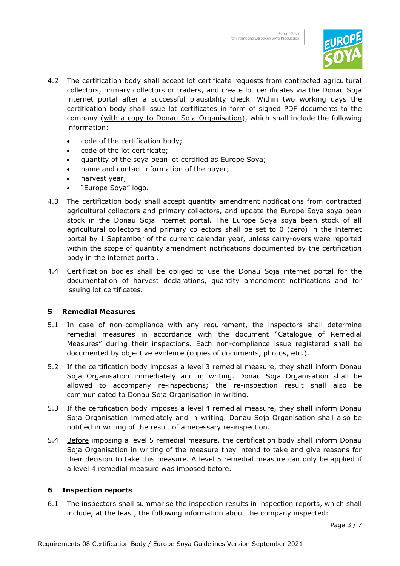

- 4.2 The certification body shall accept lot certificate requests from contracted agricultural collectors, primary collectors or traders, and create lot certificates via the Donau Soja internet portal after a successful plausibility check. Within two working days the certification body shall issue lot certificates in form of signed PDF documents to the company (with a copy to Donau Soja Organisation), which shall include the following information:
	- code of the certification body;
	- code of the lot certificate;
	- quantity of the soya bean lot certified as Europe Soya;
	- name and contact information of the buyer;
	- harvest year;
	- "Europe Soya" logo.
- 4.3 The certification body shall accept quantity amendment notifications from contracted agricultural collectors and primary collectors, and update the Europe Soya soya bean stock in the Donau Soja internet portal. The Europe Soya soya bean stock of all agricultural collectors and primary collectors shall be set to 0 (zero) in the internet portal by 1 September of the current calendar year, unless carry-overs were reported within the scope of quantity amendment notifications documented by the certification body in the internet portal.
- 4.4 Certification bodies shall be obliged to use the Donau Soja internet portal for the documentation of harvest declarations, quantity amendment notifications and for issuing lot certificates.

#### **5 Remedial Measures**

- 5.1 In case of non-compliance with any requirement, the inspectors shall determine remedial measures in accordance with the document "Catalogue of Remedial Measures" during their inspections. Each non-compliance issue registered shall be documented by objective evidence (copies of documents, photos, etc.).
- 5.2 If the certification body imposes a level 3 remedial measure, they shall inform Donau Soja Organisation immediately and in writing. Donau Soja Organisation shall be allowed to accompany re-inspections; the re-inspection result shall also be communicated to Donau Soja Organisation in writing.
- 5.3 If the certification body imposes a level 4 remedial measure, they shall inform Donau Soja Organisation immediately and in writing. Donau Soja Organisation shall also be notified in writing of the result of a necessary re-inspection.
- 5.4 Before imposing a level 5 remedial measure, the certification body shall inform Donau Soja Organisation in writing of the measure they intend to take and give reasons for their decision to take this measure. A level 5 remedial measure can only be applied if a level 4 remedial measure was imposed before.

#### **6 Inspection reports**

6.1 The inspectors shall summarise the inspection results in inspection reports, which shall include, at the least, the following information about the company inspected: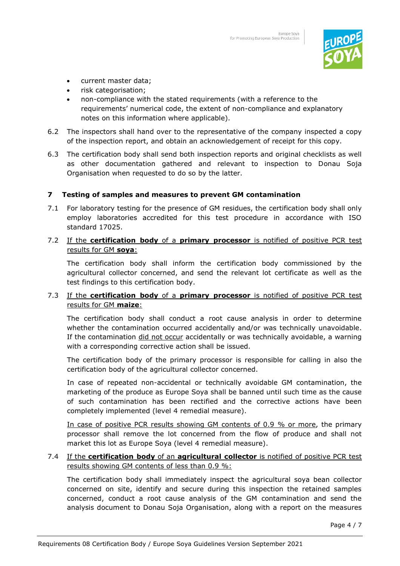

- current master data;
- risk categorisation;
- non-compliance with the stated requirements (with a reference to the requirements' numerical code, the extent of non-compliance and explanatory notes on this information where applicable).
- 6.2 The inspectors shall hand over to the representative of the company inspected a copy of the inspection report, and obtain an acknowledgement of receipt for this copy.
- 6.3 The certification body shall send both inspection reports and original checklists as well as other documentation gathered and relevant to inspection to Donau Soja Organisation when requested to do so by the latter.

#### **7 Testing of samples and measures to prevent GM contamination**

7.1 For laboratory testing for the presence of GM residues, the certification body shall only employ laboratories accredited for this test procedure in accordance with ISO standard 17025.

#### 7.2 If the **certification body** of a **primary processor** is notified of positive PCR test results for GM **soya**:

The certification body shall inform the certification body commissioned by the agricultural collector concerned, and send the relevant lot certificate as well as the test findings to this certification body.

## 7.3 If the **certification body** of a **primary processor** is notified of positive PCR test results for GM **maize**:

The certification body shall conduct a root cause analysis in order to determine whether the contamination occurred accidentally and/or was technically unavoidable. If the contamination did not occur accidentally or was technically avoidable, a warning with a corresponding corrective action shall be issued.

The certification body of the primary processor is responsible for calling in also the certification body of the agricultural collector concerned.

In case of repeated non-accidental or technically avoidable GM contamination, the marketing of the produce as Europe Soya shall be banned until such time as the cause of such contamination has been rectified and the corrective actions have been completely implemented (level 4 remedial measure).

In case of positive PCR results showing GM contents of 0.9 % or more, the primary processor shall remove the lot concerned from the flow of produce and shall not market this lot as Europe Soya (level 4 remedial measure).

#### 7.4 If the **certification body** of an **agricultural collector** is notified of positive PCR test results showing GM contents of less than 0.9 %:

The certification body shall immediately inspect the agricultural soya bean collector concerned on site, identify and secure during this inspection the retained samples concerned, conduct a root cause analysis of the GM contamination and send the analysis document to Donau Soja Organisation, along with a report on the measures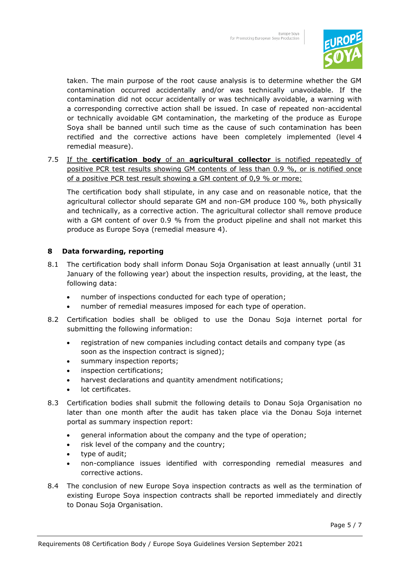

taken. The main purpose of the root cause analysis is to determine whether the GM contamination occurred accidentally and/or was technically unavoidable. If the contamination did not occur accidentally or was technically avoidable, a warning with a corresponding corrective action shall be issued. In case of repeated non-accidental or technically avoidable GM contamination, the marketing of the produce as Europe Soya shall be banned until such time as the cause of such contamination has been rectified and the corrective actions have been completely implemented (level 4 remedial measure).

7.5 If the **certification body** of an **agricultural collector** is notified repeatedly of positive PCR test results showing GM contents of less than 0.9 %, or is notified once of a positive PCR test result showing a GM content of 0,9 % or more:

The certification body shall stipulate, in any case and on reasonable notice, that the agricultural collector should separate GM and non-GM produce 100 %, both physically and technically, as a corrective action. The agricultural collector shall remove produce with a GM content of over 0.9 % from the product pipeline and shall not market this produce as Europe Soya (remedial measure 4).

### **8 Data forwarding, reporting**

- 8.1 The certification body shall inform Donau Soja Organisation at least annually (until 31 January of the following year) about the inspection results, providing, at the least, the following data:
	- number of inspections conducted for each type of operation;
	- number of remedial measures imposed for each type of operation.
- 8.2 Certification bodies shall be obliged to use the Donau Soja internet portal for submitting the following information:
	- registration of new companies including contact details and company type (as soon as the inspection contract is signed);
	- summary inspection reports;
	- inspection certifications;
	- harvest declarations and quantity amendment notifications;
	- lot certificates.
- 8.3 Certification bodies shall submit the following details to Donau Soja Organisation no later than one month after the audit has taken place via the Donau Soja internet portal as summary inspection report:
	- general information about the company and the type of operation;
	- risk level of the company and the country;
	- type of audit;
	- non-compliance issues identified with corresponding remedial measures and corrective actions.
- 8.4 The conclusion of new Europe Soya inspection contracts as well as the termination of existing Europe Soya inspection contracts shall be reported immediately and directly to Donau Soja Organisation.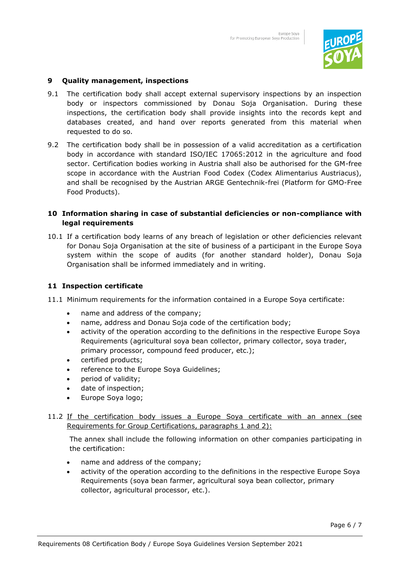

#### **9 Quality management, inspections**

- 9.1 The certification body shall accept external supervisory inspections by an inspection body or inspectors commissioned by Donau Soja Organisation. During these inspections, the certification body shall provide insights into the records kept and databases created, and hand over reports generated from this material when requested to do so.
- 9.2 The certification body shall be in possession of a valid accreditation as a certification body in accordance with standard ISO/IEC 17065:2012 in the agriculture and food sector. Certification bodies working in Austria shall also be authorised for the GM-free scope in accordance with the Austrian Food Codex (Codex Alimentarius Austriacus), and shall be recognised by the Austrian ARGE Gentechnik-frei (Platform for GMO-Free Food Products).

#### **10 Information sharing in case of substantial deficiencies or non-compliance with legal requirements**

10.1 If a certification body learns of any breach of legislation or other deficiencies relevant for Donau Soja Organisation at the site of business of a participant in the Europe Soya system within the scope of audits (for another standard holder), Donau Soja Organisation shall be informed immediately and in writing.

#### **11 Inspection certificate**

- 11.1 Minimum requirements for the information contained in a Europe Soya certificate:
	- name and address of the company;
	- name, address and Donau Soja code of the certification body;
	- activity of the operation according to the definitions in the respective Europe Soya Requirements (agricultural soya bean collector, primary collector, soya trader, primary processor, compound feed producer, etc.);
	- certified products;
	- reference to the Europe Soya Guidelines;
	- period of validity;
	- date of inspection;
	- Europe Soya logo;
- 11.2 If the certification body issues a Europe Soya certificate with an annex (see Requirements for Group Certifications, paragraphs 1 and 2):

The annex shall include the following information on other companies participating in the certification:

- name and address of the company;
- activity of the operation according to the definitions in the respective Europe Soya Requirements (soya bean farmer, agricultural soya bean collector, primary collector, agricultural processor, etc.).